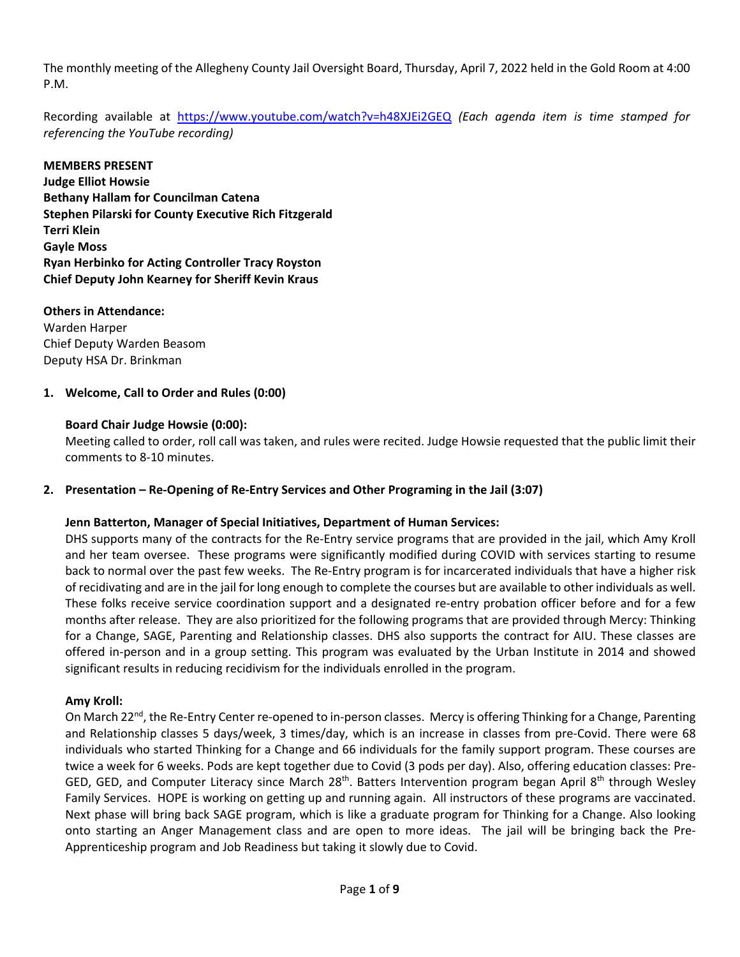The monthly meeting of the Allegheny County Jail Oversight Board, Thursday, April 7, 2022 held in the Gold Room at 4:00 P.M.

Recording available at https://www.youtube.com/watch?v=h48XJEi2GEQ *(Each agenda item is time stamped for referencing the YouTube recording)*

## **MEMBERS PRESENT**

**Judge Elliot Howsie Bethany Hallam for Councilman Catena Stephen Pilarski for County Executive Rich Fitzgerald Terri Klein Gayle Moss Ryan Herbinko for Acting Controller Tracy Royston Chief Deputy John Kearney for Sheriff Kevin Kraus** 

## **Others in Attendance:**

Warden Harper Chief Deputy Warden Beasom Deputy HSA Dr. Brinkman

## **1. Welcome, Call to Order and Rules (0:00)**

## **Board Chair Judge Howsie (0:00):**

Meeting called to order, roll call was taken, and rules were recited. Judge Howsie requested that the public limit their comments to 8‐10 minutes.

## **2. Presentation – Re‐Opening of Re‐Entry Services and Other Programing in the Jail (3:07)**

## **Jenn Batterton, Manager of Special Initiatives, Department of Human Services:**

DHS supports many of the contracts for the Re‐Entry service programs that are provided in the jail, which Amy Kroll and her team oversee. These programs were significantly modified during COVID with services starting to resume back to normal over the past few weeks. The Re‐Entry program is for incarcerated individuals that have a higher risk of recidivating and are in the jail for long enough to complete the courses but are available to other individuals as well. These folks receive service coordination support and a designated re-entry probation officer before and for a few months after release. They are also prioritized for the following programs that are provided through Mercy: Thinking for a Change, SAGE, Parenting and Relationship classes. DHS also supports the contract for AIU. These classes are offered in‐person and in a group setting. This program was evaluated by the Urban Institute in 2014 and showed significant results in reducing recidivism for the individuals enrolled in the program.

## **Amy Kroll:**

On March 22<sup>nd</sup>, the Re-Entry Center re-opened to in-person classes. Mercy is offering Thinking for a Change, Parenting and Relationship classes 5 days/week, 3 times/day, which is an increase in classes from pre-Covid. There were 68 individuals who started Thinking for a Change and 66 individuals for the family support program. These courses are twice a week for 6 weeks. Pods are kept together due to Covid (3 pods per day). Also, offering education classes: Pre‐ GED, GED, and Computer Literacy since March  $28<sup>th</sup>$ . Batters Intervention program began April  $8<sup>th</sup>$  through Wesley Family Services. HOPE is working on getting up and running again. All instructors of these programs are vaccinated. Next phase will bring back SAGE program, which is like a graduate program for Thinking for a Change. Also looking onto starting an Anger Management class and are open to more ideas. The jail will be bringing back the Pre‐ Apprenticeship program and Job Readiness but taking it slowly due to Covid.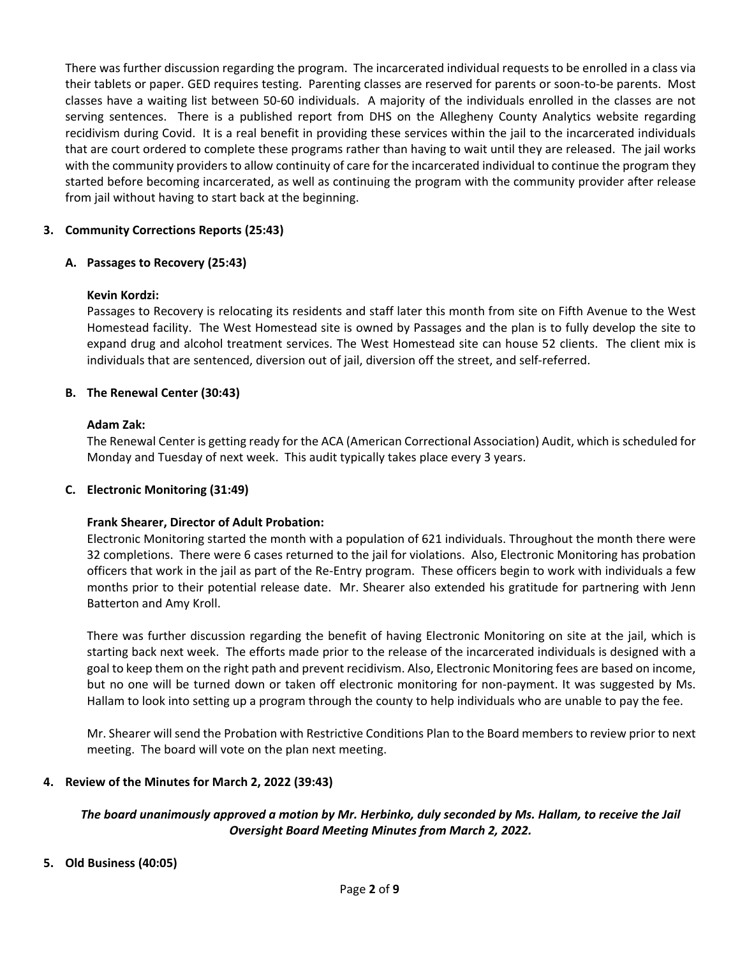There was further discussion regarding the program. The incarcerated individual requests to be enrolled in a class via their tablets or paper. GED requires testing. Parenting classes are reserved for parents or soon‐to‐be parents. Most classes have a waiting list between 50‐60 individuals. A majority of the individuals enrolled in the classes are not serving sentences. There is a published report from DHS on the Allegheny County Analytics website regarding recidivism during Covid. It is a real benefit in providing these services within the jail to the incarcerated individuals that are court ordered to complete these programs rather than having to wait until they are released. The jail works with the community providers to allow continuity of care for the incarcerated individual to continue the program they started before becoming incarcerated, as well as continuing the program with the community provider after release from jail without having to start back at the beginning.

# **3. Community Corrections Reports (25:43)**

# **A. Passages to Recovery (25:43)**

# **Kevin Kordzi:**

Passages to Recovery is relocating its residents and staff later this month from site on Fifth Avenue to the West Homestead facility. The West Homestead site is owned by Passages and the plan is to fully develop the site to expand drug and alcohol treatment services. The West Homestead site can house 52 clients. The client mix is individuals that are sentenced, diversion out of jail, diversion off the street, and self‐referred.

# **B. The Renewal Center (30:43)**

# **Adam Zak:**

The Renewal Center is getting ready for the ACA (American Correctional Association) Audit, which is scheduled for Monday and Tuesday of next week. This audit typically takes place every 3 years.

# **C. Electronic Monitoring (31:49)**

# **Frank Shearer, Director of Adult Probation:**

Electronic Monitoring started the month with a population of 621 individuals. Throughout the month there were 32 completions. There were 6 cases returned to the jail for violations. Also, Electronic Monitoring has probation officers that work in the jail as part of the Re‐Entry program. These officers begin to work with individuals a few months prior to their potential release date. Mr. Shearer also extended his gratitude for partnering with Jenn Batterton and Amy Kroll.

There was further discussion regarding the benefit of having Electronic Monitoring on site at the jail, which is starting back next week. The efforts made prior to the release of the incarcerated individuals is designed with a goal to keep them on the right path and prevent recidivism. Also, Electronic Monitoring fees are based on income, but no one will be turned down or taken off electronic monitoring for non‐payment. It was suggested by Ms. Hallam to look into setting up a program through the county to help individuals who are unable to pay the fee.

Mr. Shearer will send the Probation with Restrictive Conditions Plan to the Board members to review prior to next meeting. The board will vote on the plan next meeting.

# **4. Review of the Minutes for March 2, 2022 (39:43)**

# *The board unanimously approved a motion by Mr. Herbinko, duly seconded by Ms. Hallam, to receive the Jail Oversight Board Meeting Minutes from March 2, 2022.*

# **5. Old Business (40:05)**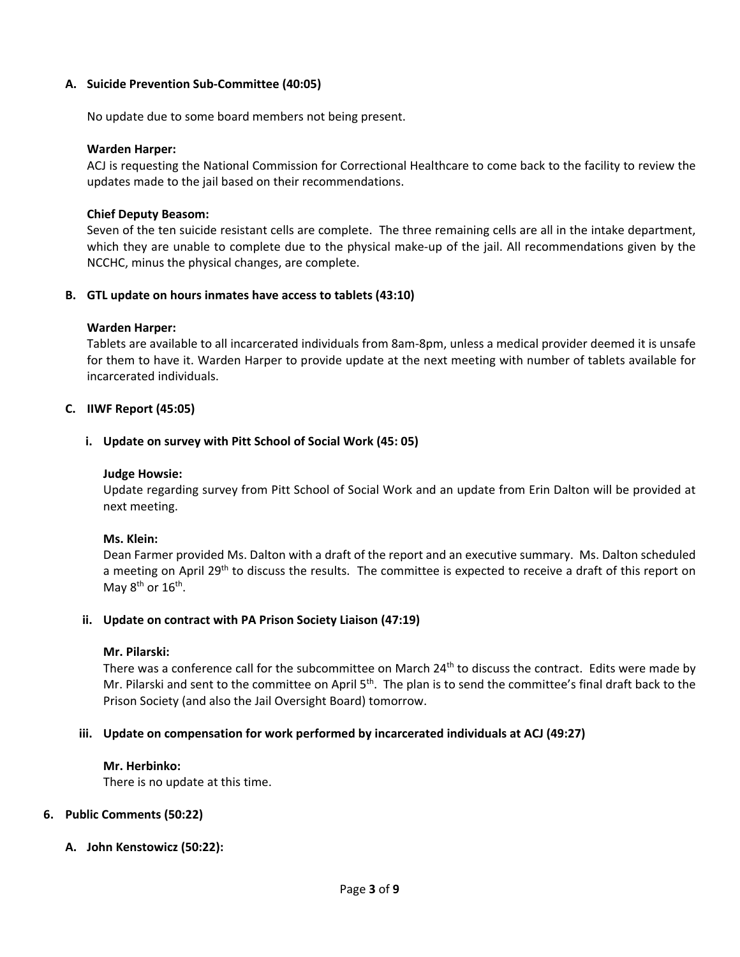## **A. Suicide Prevention Sub‐Committee (40:05)**

No update due to some board members not being present.

#### **Warden Harper:**

ACJ is requesting the National Commission for Correctional Healthcare to come back to the facility to review the updates made to the jail based on their recommendations.

#### **Chief Deputy Beasom:**

Seven of the ten suicide resistant cells are complete. The three remaining cells are all in the intake department, which they are unable to complete due to the physical make-up of the jail. All recommendations given by the NCCHC, minus the physical changes, are complete.

#### **B. GTL update on hours inmates have access to tablets (43:10)**

#### **Warden Harper:**

Tablets are available to all incarcerated individuals from 8am‐8pm, unless a medical provider deemed it is unsafe for them to have it. Warden Harper to provide update at the next meeting with number of tablets available for incarcerated individuals.

#### **C. IIWF Report (45:05)**

#### **i. Update on survey with Pitt School of Social Work (45: 05)**

#### **Judge Howsie:**

Update regarding survey from Pitt School of Social Work and an update from Erin Dalton will be provided at next meeting.

## **Ms. Klein:**

Dean Farmer provided Ms. Dalton with a draft of the report and an executive summary. Ms. Dalton scheduled a meeting on April 29<sup>th</sup> to discuss the results. The committee is expected to receive a draft of this report on May  $8^{th}$  or  $16^{th}$ .

#### **ii. Update on contract with PA Prison Society Liaison (47:19)**

#### **Mr. Pilarski:**

There was a conference call for the subcommittee on March 24<sup>th</sup> to discuss the contract. Edits were made by Mr. Pilarski and sent to the committee on April 5<sup>th</sup>. The plan is to send the committee's final draft back to the Prison Society (and also the Jail Oversight Board) tomorrow.

## **iii. Update on compensation for work performed by incarcerated individuals at ACJ (49:27)**

#### **Mr. Herbinko:**

There is no update at this time.

## **6. Public Comments (50:22)**

**A. John Kenstowicz (50:22):**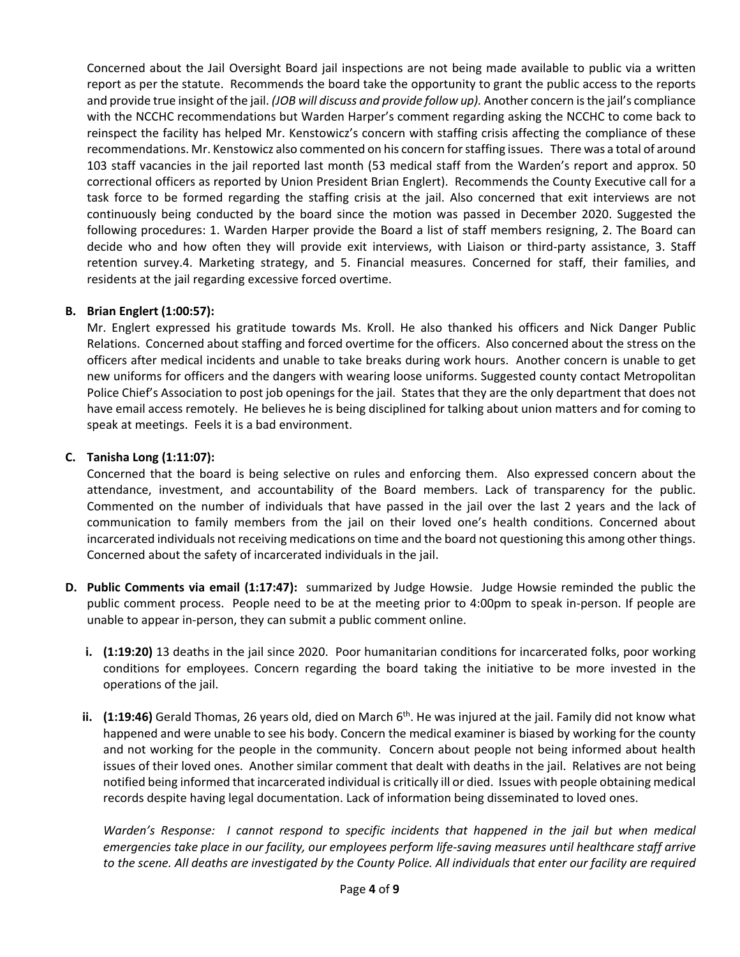Concerned about the Jail Oversight Board jail inspections are not being made available to public via a written report as per the statute. Recommends the board take the opportunity to grant the public access to the reports and provide true insight of the jail. *(JOB will discuss and provide follow up).* Another concern is the jail's compliance with the NCCHC recommendations but Warden Harper's comment regarding asking the NCCHC to come back to reinspect the facility has helped Mr. Kenstowicz's concern with staffing crisis affecting the compliance of these recommendations. Mr. Kenstowicz also commented on his concern for staffing issues. There was a total of around 103 staff vacancies in the jail reported last month (53 medical staff from the Warden's report and approx. 50 correctional officers as reported by Union President Brian Englert). Recommends the County Executive call for a task force to be formed regarding the staffing crisis at the jail. Also concerned that exit interviews are not continuously being conducted by the board since the motion was passed in December 2020. Suggested the following procedures: 1. Warden Harper provide the Board a list of staff members resigning, 2. The Board can decide who and how often they will provide exit interviews, with Liaison or third-party assistance, 3. Staff retention survey.4. Marketing strategy, and 5. Financial measures. Concerned for staff, their families, and residents at the jail regarding excessive forced overtime.

## **B. Brian Englert (1:00:57):**

Mr. Englert expressed his gratitude towards Ms. Kroll. He also thanked his officers and Nick Danger Public Relations. Concerned about staffing and forced overtime for the officers. Also concerned about the stress on the officers after medical incidents and unable to take breaks during work hours. Another concern is unable to get new uniforms for officers and the dangers with wearing loose uniforms. Suggested county contact Metropolitan Police Chief's Association to post job openings for the jail. States that they are the only department that does not have email access remotely. He believes he is being disciplined for talking about union matters and for coming to speak at meetings. Feels it is a bad environment.

## **C. Tanisha Long (1:11:07):**

Concerned that the board is being selective on rules and enforcing them. Also expressed concern about the attendance, investment, and accountability of the Board members. Lack of transparency for the public. Commented on the number of individuals that have passed in the jail over the last 2 years and the lack of communication to family members from the jail on their loved one's health conditions. Concerned about incarcerated individuals not receiving medications on time and the board not questioning this among other things. Concerned about the safety of incarcerated individuals in the jail.

- **D.** Public Comments via email (1:17:47): summarized by Judge Howsie. Judge Howsie reminded the public the public comment process. People need to be at the meeting prior to 4:00pm to speak in‐person. If people are unable to appear in‐person, they can submit a public comment online.
	- **i. (1:19:20)** 13 deaths in the jail since 2020. Poor humanitarian conditions for incarcerated folks, poor working conditions for employees. Concern regarding the board taking the initiative to be more invested in the operations of the jail.
	- ii. (1:19:46) Gerald Thomas, 26 years old, died on March 6<sup>th</sup>. He was injured at the jail. Family did not know what happened and were unable to see his body. Concern the medical examiner is biased by working for the county and not working for the people in the community. Concern about people not being informed about health issues of their loved ones. Another similar comment that dealt with deaths in the jail. Relatives are not being notified being informed that incarcerated individual is critically ill or died. Issues with people obtaining medical records despite having legal documentation. Lack of information being disseminated to loved ones.

*Warden's Response: I cannot respond to specific incidents that happened in the jail but when medical emergencies take place in our facility, our employees perform life‐saving measures until healthcare staff arrive*  to the scene. All deaths are investigated by the County Police. All individuals that enter our facility are required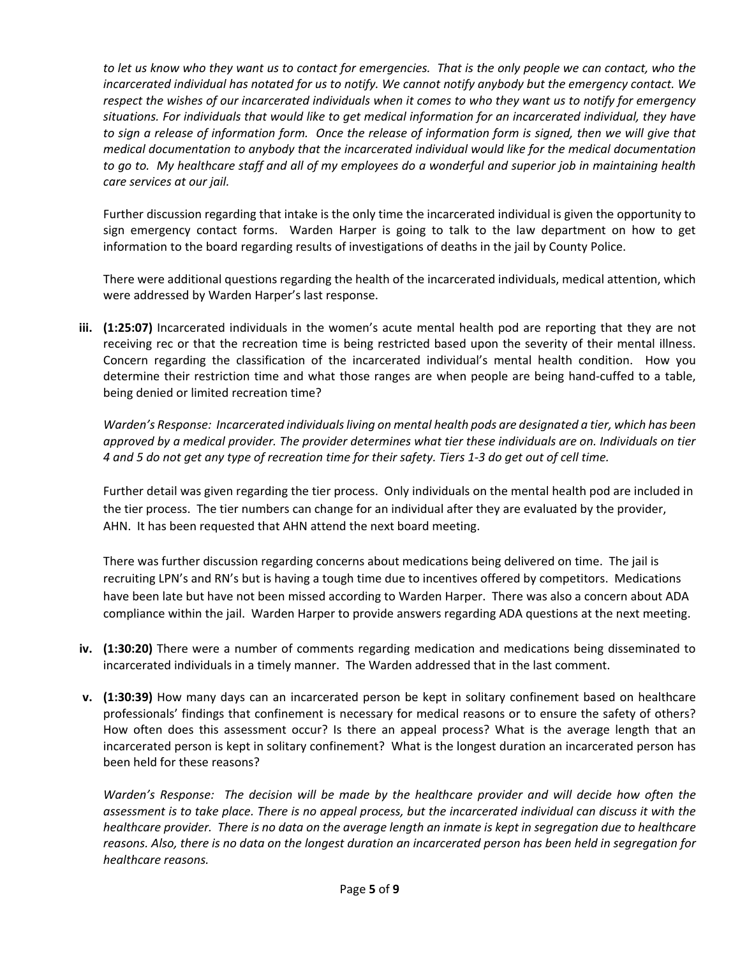*to let us know who they want us to contact for emergencies. That is the only people we can contact, who the incarcerated individual has notated for us to notify. We cannot notify anybody but the emergency contact. We respect the wishes of our incarcerated individuals when it comes to who they want us to notify for emergency situations. For individuals that would like to get medical information for an incarcerated individual, they have*  to sign a release of information form. Once the release of information form is signed, then we will give that *medical documentation to anybody that the incarcerated individual would like for the medical documentation to go to. My healthcare staff and all of my employees do a wonderful and superior job in maintaining health care services at our jail.*

Further discussion regarding that intake is the only time the incarcerated individual is given the opportunity to sign emergency contact forms. Warden Harper is going to talk to the law department on how to get information to the board regarding results of investigations of deaths in the jail by County Police.

There were additional questions regarding the health of the incarcerated individuals, medical attention, which were addressed by Warden Harper's last response.

**iii. (1:25:07)** Incarcerated individuals in the women's acute mental health pod are reporting that they are not receiving rec or that the recreation time is being restricted based upon the severity of their mental illness. Concern regarding the classification of the incarcerated individual's mental health condition. How you determine their restriction time and what those ranges are when people are being hand-cuffed to a table, being denied or limited recreation time?

*Warden's Response: Incarcerated individuals living on mental health pods are designated a tier, which has been approved by a medical provider. The provider determines what tier these individuals are on. Individuals on tier 4 and 5 do not get any type of recreation time for their safety. Tiers 1‐3 do get out of cell time.*

Further detail was given regarding the tier process. Only individuals on the mental health pod are included in the tier process. The tier numbers can change for an individual after they are evaluated by the provider, AHN. It has been requested that AHN attend the next board meeting.

There was further discussion regarding concerns about medications being delivered on time. The jail is recruiting LPN's and RN's but is having a tough time due to incentives offered by competitors. Medications have been late but have not been missed according to Warden Harper. There was also a concern about ADA compliance within the jail. Warden Harper to provide answers regarding ADA questions at the next meeting.

- **iv. (1:30:20)** There were a number of comments regarding medication and medications being disseminated to incarcerated individuals in a timely manner. The Warden addressed that in the last comment.
- **v. (1:30:39)** How many days can an incarcerated person be kept in solitary confinement based on healthcare professionals' findings that confinement is necessary for medical reasons or to ensure the safety of others? How often does this assessment occur? Is there an appeal process? What is the average length that an incarcerated person is kept in solitary confinement? What is the longest duration an incarcerated person has been held for these reasons?

*Warden's Response: The decision will be made by the healthcare provider and will decide how often the assessment is to take place. There is no appeal process, but the incarcerated individual can discuss it with the healthcare provider. There is no data on the average length an inmate is kept in segregation due to healthcare reasons. Also, there is no data on the longest duration an incarcerated person has been held in segregation for healthcare reasons.*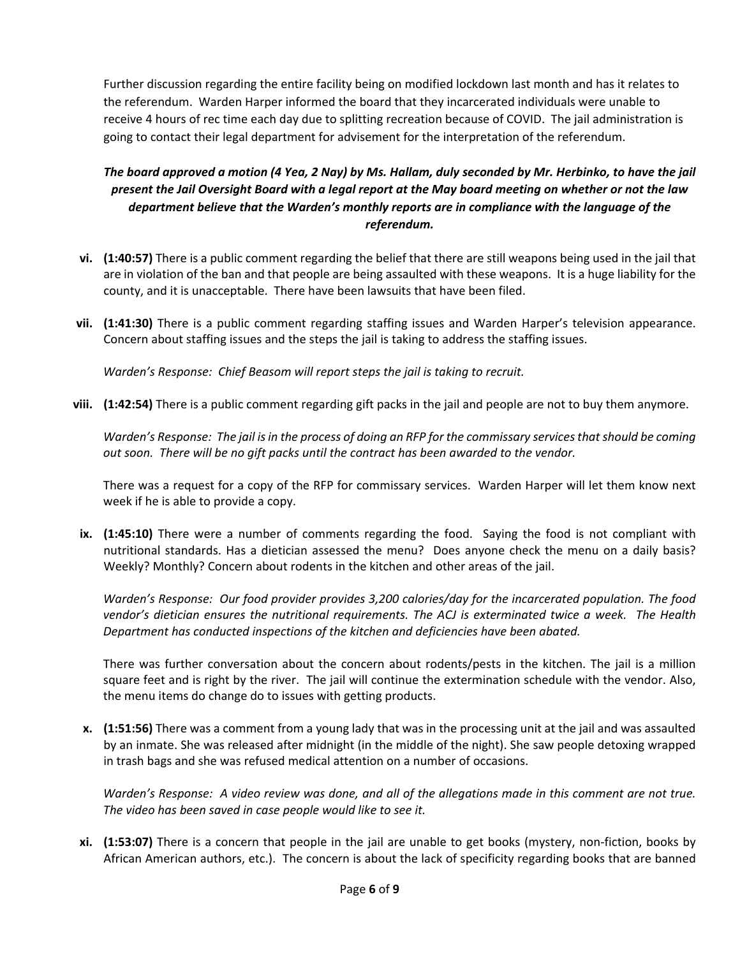Further discussion regarding the entire facility being on modified lockdown last month and has it relates to the referendum. Warden Harper informed the board that they incarcerated individuals were unable to receive 4 hours of rec time each day due to splitting recreation because of COVID. The jail administration is going to contact their legal department for advisement for the interpretation of the referendum.

# *The board approved a motion (4 Yea, 2 Nay) by Ms. Hallam, duly seconded by Mr. Herbinko, to have the jail present the Jail Oversight Board with a legal report at the May board meeting on whether or not the law department believe that the Warden's monthly reports are in compliance with the language of the referendum.*

- **vi. (1:40:57)** There is a public comment regarding the belief that there are still weapons being used in the jail that are in violation of the ban and that people are being assaulted with these weapons. It is a huge liability for the county, and it is unacceptable. There have been lawsuits that have been filed.
- **vii.** (1:41:30) There is a public comment regarding staffing issues and Warden Harper's television appearance. Concern about staffing issues and the steps the jail is taking to address the staffing issues.

*Warden's Response: Chief Beasom will report steps the jail is taking to recruit.* 

**viii. (1:42:54)** There is a public comment regarding gift packs in the jail and people are not to buy them anymore.

*Warden's Response: The jail is in the process of doing an RFP for the commissary services that should be coming out soon. There will be no gift packs until the contract has been awarded to the vendor.* 

There was a request for a copy of the RFP for commissary services. Warden Harper will let them know next week if he is able to provide a copy.

**ix.** (1:45:10) There were a number of comments regarding the food. Saying the food is not compliant with nutritional standards. Has a dietician assessed the menu? Does anyone check the menu on a daily basis? Weekly? Monthly? Concern about rodents in the kitchen and other areas of the jail.

*Warden's Response: Our food provider provides 3,200 calories/day for the incarcerated population. The food vendor's dietician ensures the nutritional requirements. The ACJ is exterminated twice a week. The Health Department has conducted inspections of the kitchen and deficiencies have been abated.* 

There was further conversation about the concern about rodents/pests in the kitchen. The jail is a million square feet and is right by the river. The jail will continue the extermination schedule with the vendor. Also, the menu items do change do to issues with getting products.

**x. (1:51:56)** There was a comment from a young lady that was in the processing unit at the jail and was assaulted by an inmate. She was released after midnight (in the middle of the night). She saw people detoxing wrapped in trash bags and she was refused medical attention on a number of occasions.

*Warden's Response: A video review was done, and all of the allegations made in this comment are not true. The video has been saved in case people would like to see it.* 

**xi. (1:53:07)** There is a concern that people in the jail are unable to get books (mystery, non‐fiction, books by African American authors, etc.). The concern is about the lack of specificity regarding books that are banned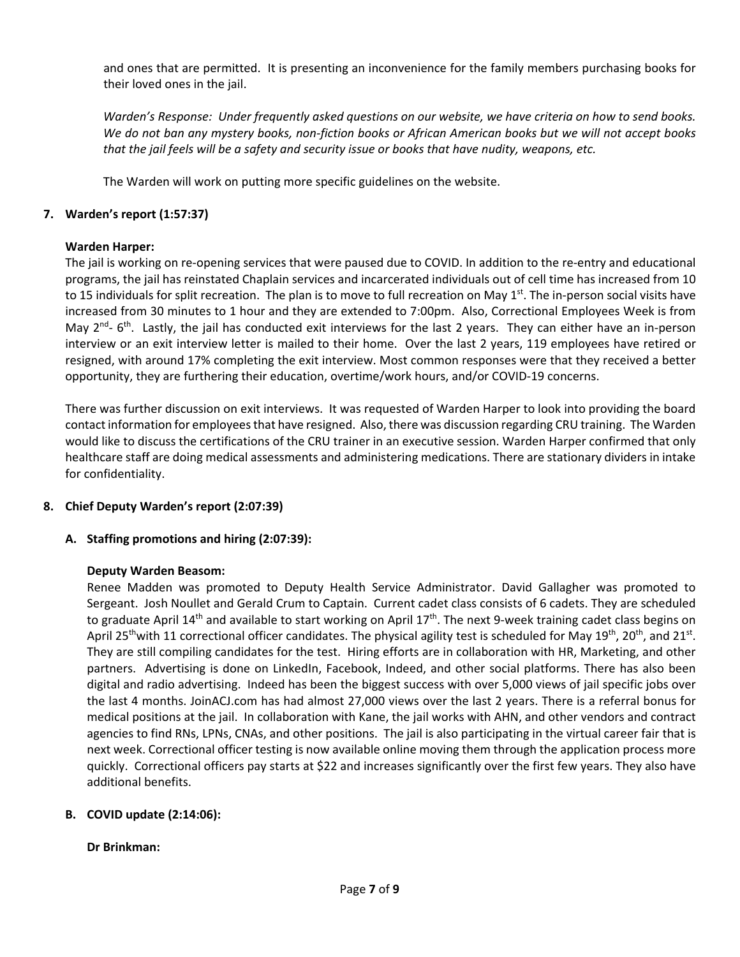and ones that are permitted. It is presenting an inconvenience for the family members purchasing books for their loved ones in the jail.

*Warden's Response: Under frequently asked questions on our website, we have criteria on how to send books. We do not ban any mystery books, non‐fiction books or African American books but we will not accept books*  that the jail feels will be a safety and security issue or books that have nudity, weapons, etc.

The Warden will work on putting more specific guidelines on the website.

## **7. Warden's report (1:57:37)**

## **Warden Harper:**

The jail is working on re‐opening services that were paused due to COVID. In addition to the re‐entry and educational programs, the jail has reinstated Chaplain services and incarcerated individuals out of cell time has increased from 10 to 15 individuals for split recreation. The plan is to move to full recreation on May  $1<sup>st</sup>$ . The in-person social visits have increased from 30 minutes to 1 hour and they are extended to 7:00pm. Also, Correctional Employees Week is from May  $2^{nd}$ - 6<sup>th</sup>. Lastly, the jail has conducted exit interviews for the last 2 years. They can either have an in-person interview or an exit interview letter is mailed to their home. Over the last 2 years, 119 employees have retired or resigned, with around 17% completing the exit interview. Most common responses were that they received a better opportunity, they are furthering their education, overtime/work hours, and/or COVID‐19 concerns.

There was further discussion on exit interviews. It was requested of Warden Harper to look into providing the board contact information for employees that have resigned. Also, there was discussion regarding CRU training. The Warden would like to discuss the certifications of the CRU trainer in an executive session. Warden Harper confirmed that only healthcare staff are doing medical assessments and administering medications. There are stationary dividers in intake for confidentiality.

# **8. Chief Deputy Warden's report (2:07:39)**

# **A. Staffing promotions and hiring (2:07:39):**

## **Deputy Warden Beasom:**

Renee Madden was promoted to Deputy Health Service Administrator. David Gallagher was promoted to Sergeant. Josh Noullet and Gerald Crum to Captain. Current cadet class consists of 6 cadets. They are scheduled to graduate April 14<sup>th</sup> and available to start working on April 17<sup>th</sup>. The next 9-week training cadet class begins on April 25<sup>th</sup>with 11 correctional officer candidates. The physical agility test is scheduled for May 19<sup>th</sup>, 20<sup>th</sup>, and 21<sup>st</sup>. They are still compiling candidates for the test. Hiring efforts are in collaboration with HR, Marketing, and other partners. Advertising is done on LinkedIn, Facebook, Indeed, and other social platforms. There has also been digital and radio advertising. Indeed has been the biggest success with over 5,000 views of jail specific jobs over the last 4 months. JoinACJ.com has had almost 27,000 views over the last 2 years. There is a referral bonus for medical positions at the jail. In collaboration with Kane, the jail works with AHN, and other vendors and contract agencies to find RNs, LPNs, CNAs, and other positions. The jail is also participating in the virtual career fair that is next week. Correctional officer testing is now available online moving them through the application process more quickly. Correctional officers pay starts at \$22 and increases significantly over the first few years. They also have additional benefits.

# **B. COVID update (2:14:06):**

## **Dr Brinkman:**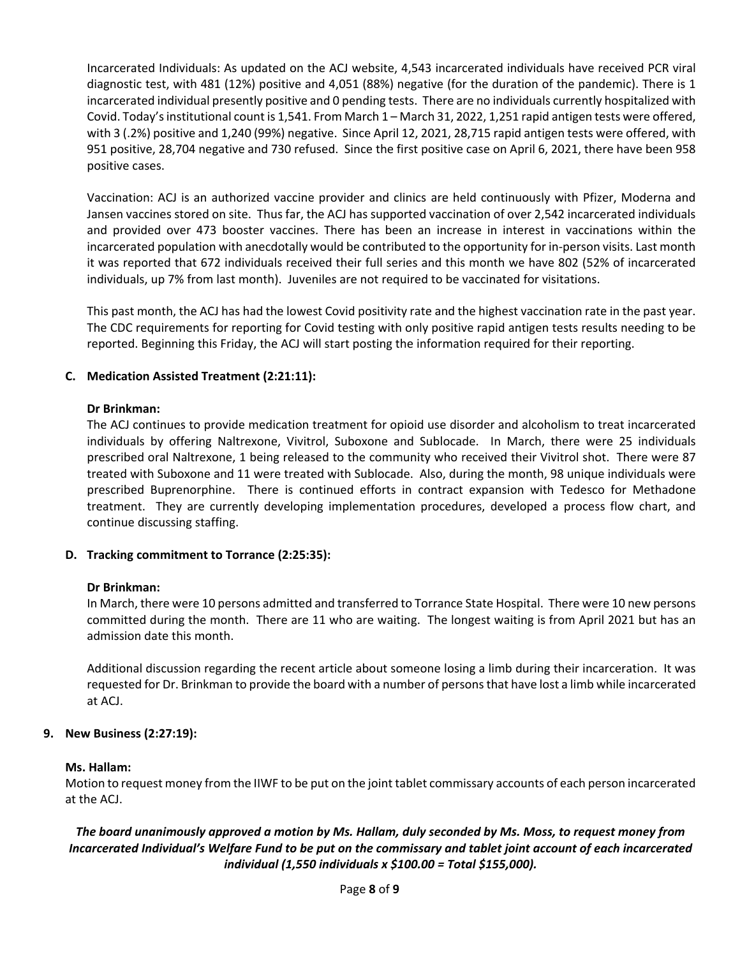Incarcerated Individuals: As updated on the ACJ website, 4,543 incarcerated individuals have received PCR viral diagnostic test, with 481 (12%) positive and 4,051 (88%) negative (for the duration of the pandemic). There is 1 incarcerated individual presently positive and 0 pending tests. There are no individuals currently hospitalized with Covid. Today's institutional count is 1,541. From March 1 – March 31, 2022, 1,251 rapid antigen tests were offered, with 3 (.2%) positive and 1,240 (99%) negative. Since April 12, 2021, 28,715 rapid antigen tests were offered, with 951 positive, 28,704 negative and 730 refused. Since the first positive case on April 6, 2021, there have been 958 positive cases.

Vaccination: ACJ is an authorized vaccine provider and clinics are held continuously with Pfizer, Moderna and Jansen vaccines stored on site. Thus far, the ACJ has supported vaccination of over 2,542 incarcerated individuals and provided over 473 booster vaccines. There has been an increase in interest in vaccinations within the incarcerated population with anecdotally would be contributed to the opportunity for in‐person visits. Last month it was reported that 672 individuals received their full series and this month we have 802 (52% of incarcerated individuals, up 7% from last month). Juveniles are not required to be vaccinated for visitations.

This past month, the ACJ has had the lowest Covid positivity rate and the highest vaccination rate in the past year. The CDC requirements for reporting for Covid testing with only positive rapid antigen tests results needing to be reported. Beginning this Friday, the ACJ will start posting the information required for their reporting.

## **C. Medication Assisted Treatment (2:21:11):**

## **Dr Brinkman:**

The ACJ continues to provide medication treatment for opioid use disorder and alcoholism to treat incarcerated individuals by offering Naltrexone, Vivitrol, Suboxone and Sublocade. In March, there were 25 individuals prescribed oral Naltrexone, 1 being released to the community who received their Vivitrol shot. There were 87 treated with Suboxone and 11 were treated with Sublocade. Also, during the month, 98 unique individuals were prescribed Buprenorphine. There is continued efforts in contract expansion with Tedesco for Methadone treatment. They are currently developing implementation procedures, developed a process flow chart, and continue discussing staffing.

## **D. Tracking commitment to Torrance (2:25:35):**

## **Dr Brinkman:**

In March, there were 10 persons admitted and transferred to Torrance State Hospital. There were 10 new persons committed during the month. There are 11 who are waiting. The longest waiting is from April 2021 but has an admission date this month.

Additional discussion regarding the recent article about someone losing a limb during their incarceration. It was requested for Dr. Brinkman to provide the board with a number of persons that have lost a limb while incarcerated at ACJ.

## **9. New Business (2:27:19):**

## **Ms. Hallam:**

Motion to request money from the IIWF to be put on the joint tablet commissary accounts of each person incarcerated at the ACJ.

# *The board unanimously approved a motion by Ms. Hallam, duly seconded by Ms. Moss, to request money from Incarcerated Individual's Welfare Fund to be put on the commissary and tablet joint account of each incarcerated individual (1,550 individuals x \$100.00 = Total \$155,000).*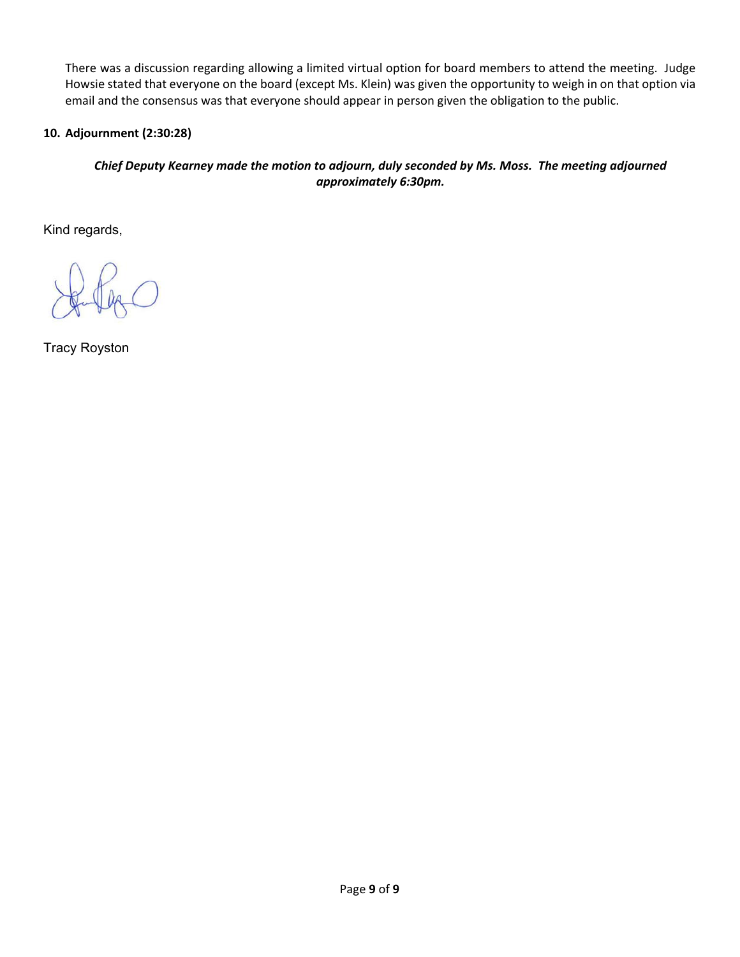There was a discussion regarding allowing a limited virtual option for board members to attend the meeting. Judge Howsie stated that everyone on the board (except Ms. Klein) was given the opportunity to weigh in on that option via email and the consensus was that everyone should appear in person given the obligation to the public.

# **10. Adjournment (2:30:28)**

# *Chief Deputy Kearney made the motion to adjourn, duly seconded by Ms. Moss. The meeting adjourned approximately 6:30pm.*

Kind regards,

Tracy Royston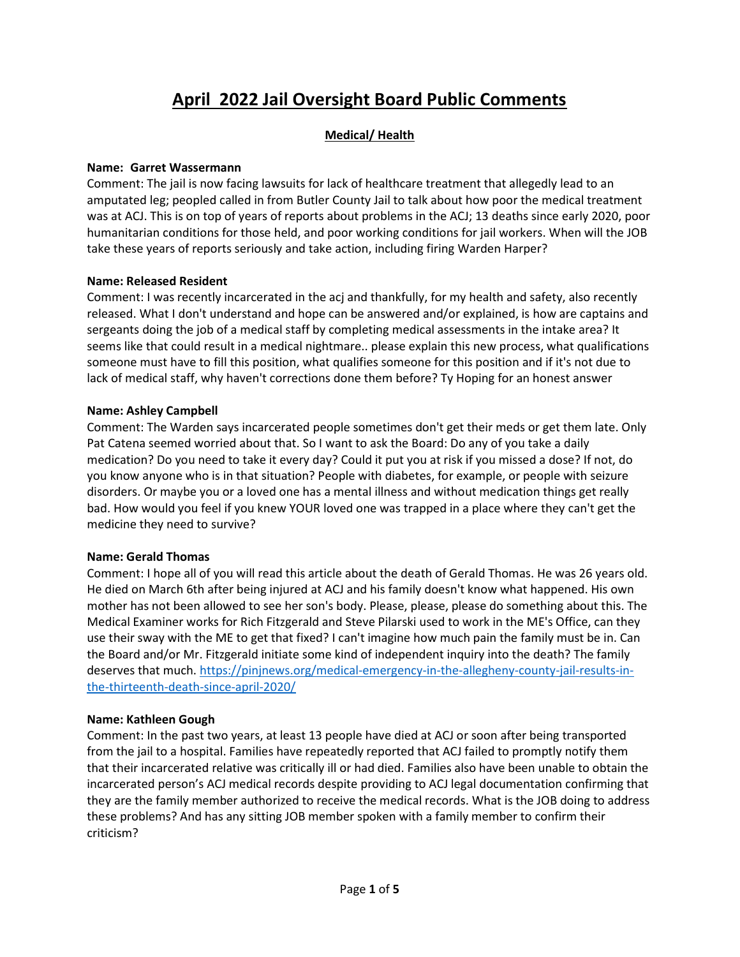# April 2022 Jail Oversight Board Public Comments

# Medical/ Health

## Name: Garret Wassermann

Comment: The jail is now facing lawsuits for lack of healthcare treatment that allegedly lead to an amputated leg; peopled called in from Butler County Jail to talk about how poor the medical treatment was at ACJ. This is on top of years of reports about problems in the ACJ; 13 deaths since early 2020, poor humanitarian conditions for those held, and poor working conditions for jail workers. When will the JOB take these years of reports seriously and take action, including firing Warden Harper?

## Name: Released Resident

Comment: I was recently incarcerated in the acj and thankfully, for my health and safety, also recently released. What I don't understand and hope can be answered and/or explained, is how are captains and sergeants doing the job of a medical staff by completing medical assessments in the intake area? It seems like that could result in a medical nightmare.. please explain this new process, what qualifications someone must have to fill this position, what qualifies someone for this position and if it's not due to lack of medical staff, why haven't corrections done them before? Ty Hoping for an honest answer

## Name: Ashley Campbell

Comment: The Warden says incarcerated people sometimes don't get their meds or get them late. Only Pat Catena seemed worried about that. So I want to ask the Board: Do any of you take a daily medication? Do you need to take it every day? Could it put you at risk if you missed a dose? If not, do you know anyone who is in that situation? People with diabetes, for example, or people with seizure disorders. Or maybe you or a loved one has a mental illness and without medication things get really bad. How would you feel if you knew YOUR loved one was trapped in a place where they can't get the medicine they need to survive?

# Name: Gerald Thomas

Comment: I hope all of you will read this article about the death of Gerald Thomas. He was 26 years old. He died on March 6th after being injured at ACJ and his family doesn't know what happened. His own mother has not been allowed to see her son's body. Please, please, please do something about this. The Medical Examiner works for Rich Fitzgerald and Steve Pilarski used to work in the ME's Office, can they use their sway with the ME to get that fixed? I can't imagine how much pain the family must be in. Can the Board and/or Mr. Fitzgerald initiate some kind of independent inquiry into the death? The family deserves that much. https://pinjnews.org/medical-emergency-in-the-allegheny-county-jail-results-inthe-thirteenth-death-since-april-2020/

# Name: Kathleen Gough

Comment: In the past two years, at least 13 people have died at ACJ or soon after being transported from the jail to a hospital. Families have repeatedly reported that ACJ failed to promptly notify them that their incarcerated relative was critically ill or had died. Families also have been unable to obtain the incarcerated person's ACJ medical records despite providing to ACJ legal documentation confirming that they are the family member authorized to receive the medical records. What is the JOB doing to address these problems? And has any sitting JOB member spoken with a family member to confirm their criticism?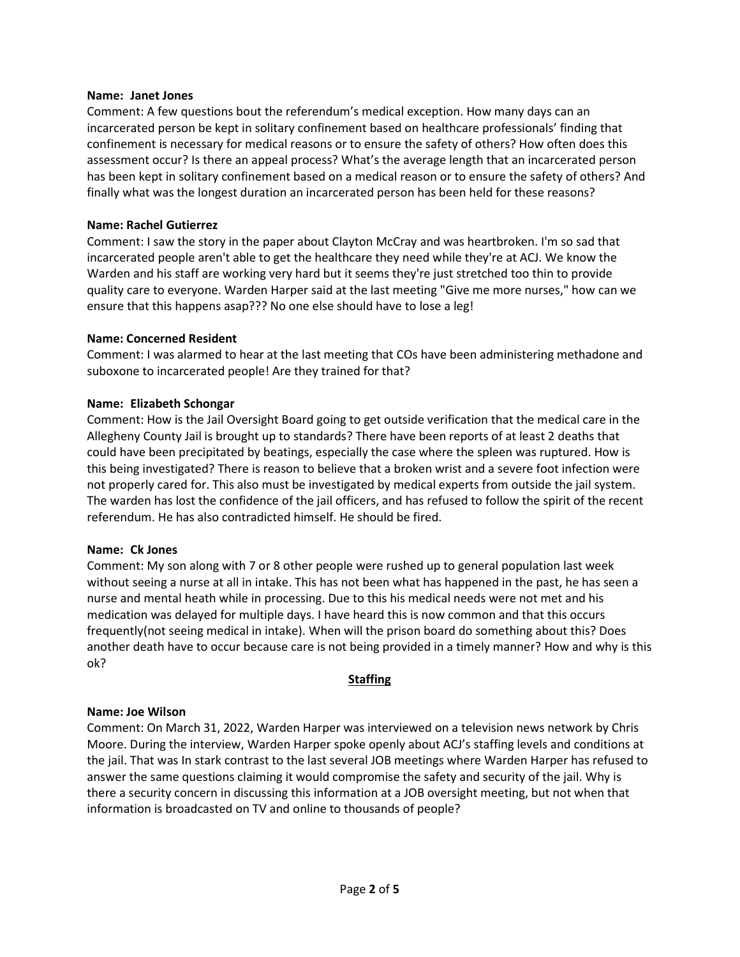#### Name: Janet Jones

Comment: A few questions bout the referendum's medical exception. How many days can an incarcerated person be kept in solitary confinement based on healthcare professionals' finding that confinement is necessary for medical reasons or to ensure the safety of others? How often does this assessment occur? Is there an appeal process? What's the average length that an incarcerated person has been kept in solitary confinement based on a medical reason or to ensure the safety of others? And finally what was the longest duration an incarcerated person has been held for these reasons?

#### Name: Rachel Gutierrez

Comment: I saw the story in the paper about Clayton McCray and was heartbroken. I'm so sad that incarcerated people aren't able to get the healthcare they need while they're at ACJ. We know the Warden and his staff are working very hard but it seems they're just stretched too thin to provide quality care to everyone. Warden Harper said at the last meeting "Give me more nurses," how can we ensure that this happens asap??? No one else should have to lose a leg!

#### Name: Concerned Resident

Comment: I was alarmed to hear at the last meeting that COs have been administering methadone and suboxone to incarcerated people! Are they trained for that?

#### Name: Elizabeth Schongar

Comment: How is the Jail Oversight Board going to get outside verification that the medical care in the Allegheny County Jail is brought up to standards? There have been reports of at least 2 deaths that could have been precipitated by beatings, especially the case where the spleen was ruptured. How is this being investigated? There is reason to believe that a broken wrist and a severe foot infection were not properly cared for. This also must be investigated by medical experts from outside the jail system. The warden has lost the confidence of the jail officers, and has refused to follow the spirit of the recent referendum. He has also contradicted himself. He should be fired.

#### Name: Ck Jones

Comment: My son along with 7 or 8 other people were rushed up to general population last week without seeing a nurse at all in intake. This has not been what has happened in the past, he has seen a nurse and mental heath while in processing. Due to this his medical needs were not met and his medication was delayed for multiple days. I have heard this is now common and that this occurs frequently(not seeing medical in intake). When will the prison board do something about this? Does another death have to occur because care is not being provided in a timely manner? How and why is this ok?

## **Staffing**

## Name: Joe Wilson

Comment: On March 31, 2022, Warden Harper was interviewed on a television news network by Chris Moore. During the interview, Warden Harper spoke openly about ACJ's staffing levels and conditions at the jail. That was In stark contrast to the last several JOB meetings where Warden Harper has refused to answer the same questions claiming it would compromise the safety and security of the jail. Why is there a security concern in discussing this information at a JOB oversight meeting, but not when that information is broadcasted on TV and online to thousands of people?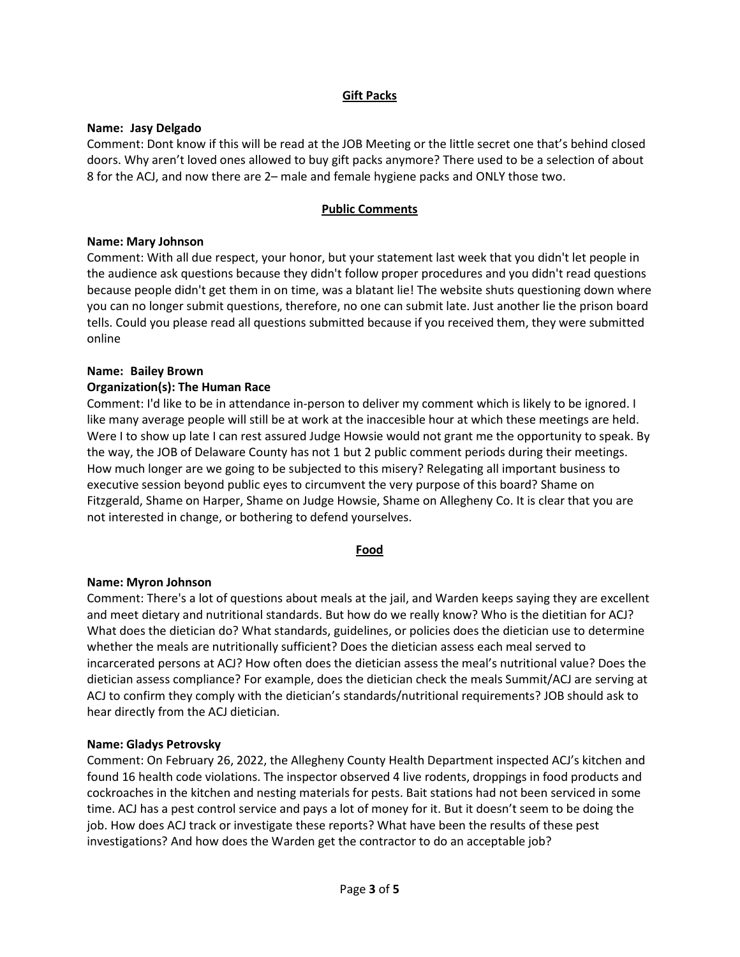## Gift Packs

## Name: Jasy Delgado

Comment: Dont know if this will be read at the JOB Meeting or the little secret one that's behind closed doors. Why aren't loved ones allowed to buy gift packs anymore? There used to be a selection of about 8 for the ACJ, and now there are 2– male and female hygiene packs and ONLY those two.

## Public Comments

## Name: Mary Johnson

Comment: With all due respect, your honor, but your statement last week that you didn't let people in the audience ask questions because they didn't follow proper procedures and you didn't read questions because people didn't get them in on time, was a blatant lie! The website shuts questioning down where you can no longer submit questions, therefore, no one can submit late. Just another lie the prison board tells. Could you please read all questions submitted because if you received them, they were submitted online

## Name: Bailey Brown

## Organization(s): The Human Race

Comment: I'd like to be in attendance in-person to deliver my comment which is likely to be ignored. I like many average people will still be at work at the inaccesible hour at which these meetings are held. Were I to show up late I can rest assured Judge Howsie would not grant me the opportunity to speak. By the way, the JOB of Delaware County has not 1 but 2 public comment periods during their meetings. How much longer are we going to be subjected to this misery? Relegating all important business to executive session beyond public eyes to circumvent the very purpose of this board? Shame on Fitzgerald, Shame on Harper, Shame on Judge Howsie, Shame on Allegheny Co. It is clear that you are not interested in change, or bothering to defend yourselves.

## Food

## Name: Myron Johnson

Comment: There's a lot of questions about meals at the jail, and Warden keeps saying they are excellent and meet dietary and nutritional standards. But how do we really know? Who is the dietitian for ACJ? What does the dietician do? What standards, guidelines, or policies does the dietician use to determine whether the meals are nutritionally sufficient? Does the dietician assess each meal served to incarcerated persons at ACJ? How often does the dietician assess the meal's nutritional value? Does the dietician assess compliance? For example, does the dietician check the meals Summit/ACJ are serving at ACJ to confirm they comply with the dietician's standards/nutritional requirements? JOB should ask to hear directly from the ACJ dietician.

## Name: Gladys Petrovsky

Comment: On February 26, 2022, the Allegheny County Health Department inspected ACJ's kitchen and found 16 health code violations. The inspector observed 4 live rodents, droppings in food products and cockroaches in the kitchen and nesting materials for pests. Bait stations had not been serviced in some time. ACJ has a pest control service and pays a lot of money for it. But it doesn't seem to be doing the job. How does ACJ track or investigate these reports? What have been the results of these pest investigations? And how does the Warden get the contractor to do an acceptable job?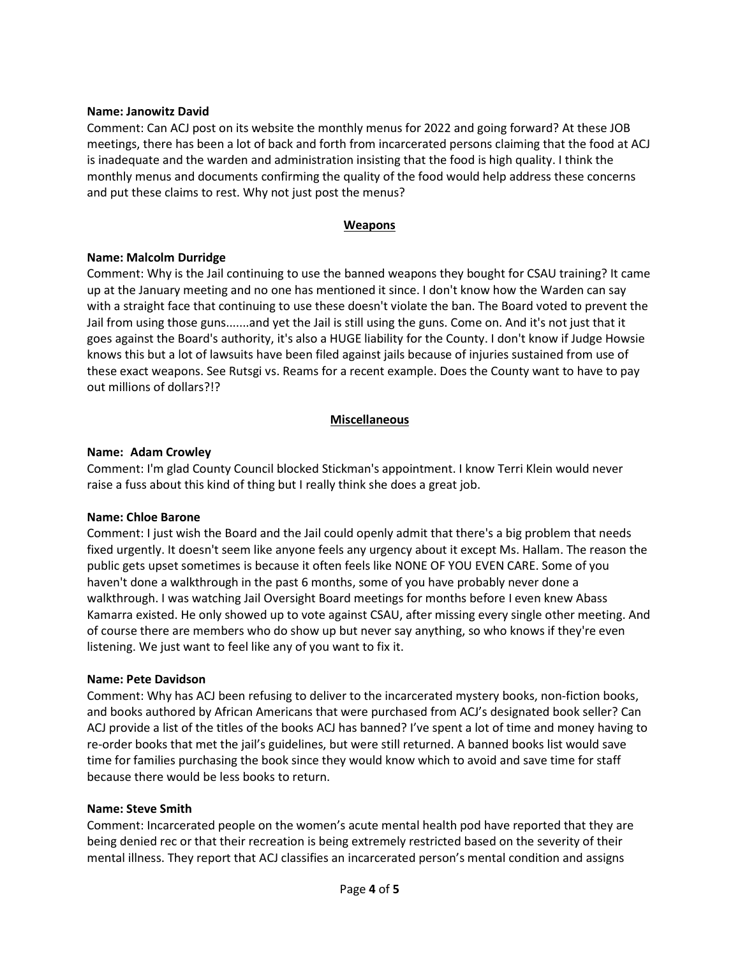#### Name: Janowitz David

Comment: Can ACJ post on its website the monthly menus for 2022 and going forward? At these JOB meetings, there has been a lot of back and forth from incarcerated persons claiming that the food at ACJ is inadequate and the warden and administration insisting that the food is high quality. I think the monthly menus and documents confirming the quality of the food would help address these concerns and put these claims to rest. Why not just post the menus?

#### **Weapons**

#### Name: Malcolm Durridge

Comment: Why is the Jail continuing to use the banned weapons they bought for CSAU training? It came up at the January meeting and no one has mentioned it since. I don't know how the Warden can say with a straight face that continuing to use these doesn't violate the ban. The Board voted to prevent the Jail from using those guns.......and yet the Jail is still using the guns. Come on. And it's not just that it goes against the Board's authority, it's also a HUGE liability for the County. I don't know if Judge Howsie knows this but a lot of lawsuits have been filed against jails because of injuries sustained from use of these exact weapons. See Rutsgi vs. Reams for a recent example. Does the County want to have to pay out millions of dollars?!?

## Miscellaneous

#### Name: Adam Crowley

Comment: I'm glad County Council blocked Stickman's appointment. I know Terri Klein would never raise a fuss about this kind of thing but I really think she does a great job.

#### Name: Chloe Barone

Comment: I just wish the Board and the Jail could openly admit that there's a big problem that needs fixed urgently. It doesn't seem like anyone feels any urgency about it except Ms. Hallam. The reason the public gets upset sometimes is because it often feels like NONE OF YOU EVEN CARE. Some of you haven't done a walkthrough in the past 6 months, some of you have probably never done a walkthrough. I was watching Jail Oversight Board meetings for months before I even knew Abass Kamarra existed. He only showed up to vote against CSAU, after missing every single other meeting. And of course there are members who do show up but never say anything, so who knows if they're even listening. We just want to feel like any of you want to fix it.

#### Name: Pete Davidson

Comment: Why has ACJ been refusing to deliver to the incarcerated mystery books, non-fiction books, and books authored by African Americans that were purchased from ACJ's designated book seller? Can ACJ provide a list of the titles of the books ACJ has banned? I've spent a lot of time and money having to re-order books that met the jail's guidelines, but were still returned. A banned books list would save time for families purchasing the book since they would know which to avoid and save time for staff because there would be less books to return.

#### Name: Steve Smith

Comment: Incarcerated people on the women's acute mental health pod have reported that they are being denied rec or that their recreation is being extremely restricted based on the severity of their mental illness. They report that ACJ classifies an incarcerated person's mental condition and assigns